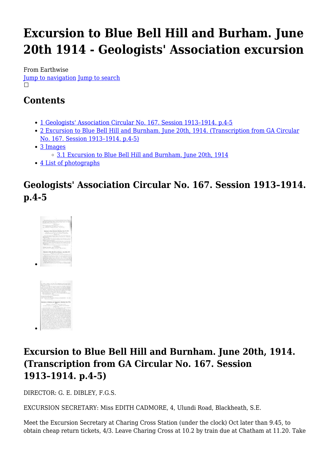# **Excursion to Blue Bell Hill and Burham. June 20th 1914 - Geologists' Association excursion**

From Earthwise [Jump to navigation](#page--1-0) [Jump to search](#page--1-0)  $\Box$ 

# **Contents**

- [1](#Geologists.27_Association_Circular_No._167._Session_1913.E2.80.931914._p.4-5) [Geologists' Association Circular No. 167. Session 1913–1914. p.4-5](#Geologists.27_Association_Circular_No._167._Session_1913.E2.80.931914._p.4-5)
- [2](#Excursion_to_Blue_Bell_Hill_and_Burnham._June_20th.2C_1914._.28Transcription_from_GA_Circular_No._167._Session_1913.E2.80.931914._p.4-5.29) [Excursion to Blue Bell Hill and Burnham. June 20th, 1914. \(Transcription from GA Circular](#Excursion_to_Blue_Bell_Hill_and_Burnham._June_20th.2C_1914._.28Transcription_from_GA_Circular_No._167._Session_1913.E2.80.931914._p.4-5.29) [No. 167. Session 1913–1914. p.4-5\)](#Excursion_to_Blue_Bell_Hill_and_Burnham._June_20th.2C_1914._.28Transcription_from_GA_Circular_No._167._Session_1913.E2.80.931914._p.4-5.29)
- [3](#page--1-0) [Images](#page--1-0)
	- [3.1](#Excursion_to_Blue_Bell_Hill_and_Burnham._June_20th.2C_1914) [Excursion to Blue Bell Hill and Burnham. June 20th, 1914](#Excursion_to_Blue_Bell_Hill_and_Burnham._June_20th.2C_1914)
- [4](#page--1-0) [List of photographs](#page--1-0)

# **Geologists' Association Circular No. 167. Session 1913–1914. p.4-5**





# **Excursion to Blue Bell Hill and Burnham. June 20th, 1914. (Transcription from GA Circular No. 167. Session 1913–1914. p.4-5)**

DIRECTOR: G. E. DIBLEY, F.G.S.

EXCURSION SECRETARY: Miss EDITH CADMORE, 4, Ulundi Road, Blackheath, S.E.

Meet the Excursion Secretary at Charing Cross Station (under the clock) Oct later than 9.45, to obtain cheap return tickets, 4/3. Leave Charing Cross at 10.2 by train due at Chatham at 11.20. Take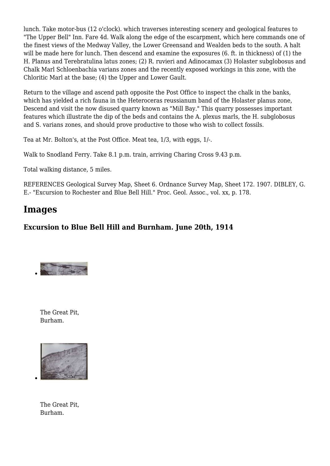lunch. Take motor-bus (12 o'clock). which traverses interesting scenery and geological features to "The Upper Bell" Inn. Fare 4d. Walk along the edge of the escarpment, which here commands one of the finest views of the Medway Valley, the Lower Greensand and Wealden beds to the south. A halt will be made here for lunch. Then descend and examine the exposures (6. ft. in thickness) of (1) the H. Planus and Terebratulina latus zones; (2) R. ruvieri and Adinocamax (3) Holaster subglobosus and Chalk Marl Schloenbachia varians zones and the recently exposed workings in this zone, with the Chloritic Marl at the base; (4) the Upper and Lower Gault.

Return to the village and ascend path opposite the Post Office to inspect the chalk in the banks, which has yielded a rich fauna in the Heteroceras reussianum band of the Holaster planus zone, Descend and visit the now disused quarry known as "Mill Bay." This quarry possesses important features which illustrate the dip of the beds and contains the A. plexus marls, the H. subglobosus and S. varians zones, and should prove productive to those who wish to collect fossils.

Tea at Mr. Bolton's, at the Post Office. Meat tea, 1/3, with eggs, 1/-.

Walk to Snodland Ferry. Take 8.1 p.m. train, arriving Charing Cross 9.43 p.m.

Total walking distance, 5 miles.

REFERENCES Geological Survey Map, Sheet 6. Ordnance Survey Map, Sheet 172. 1907. DIBLEY, G. E.- "Excursion to Rochester and Blue Bell Hill." Proc. Geol. Assoc., vol. xx, p. 178.

### **Images**

#### **Excursion to Blue Bell Hill and Burnham. June 20th, 1914**



The Great Pit, Burham.



The Great Pit, Burham.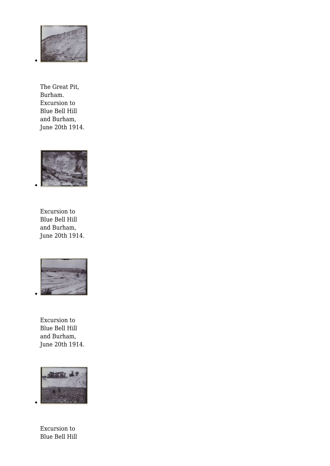

The Great Pit, Burham. Excursion to Blue Bell Hill and Burham, June 20th 1914.



Excursion to Blue Bell Hill and Burham, June 20th 1914.



Excursion to Blue Bell Hill and Burham, June 20th 1914.



Excursion to Blue Bell Hill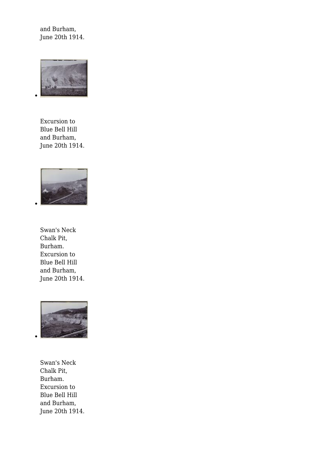and Burham, June 20th 1914.



Excursion to Blue Bell Hill and Burham, June 20th 1914.



Swan's Neck Chalk Pit, Burham. Excursion to Blue Bell Hill and Burham, June 20th 1914.



Swan's Neck Chalk Pit, Burham. Excursion to Blue Bell Hill and Burham, June 20th 1914.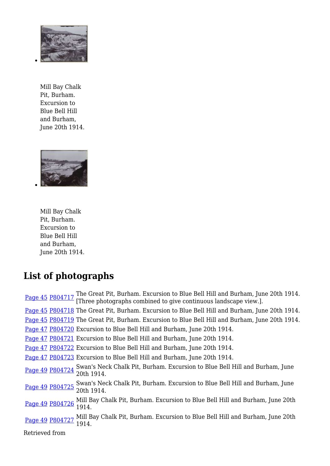

Mill Bay Chalk Pit, Burham. Excursion to Blue Bell Hill and Burham, June 20th 1914.



Mill Bay Chalk Pit, Burham. Excursion to Blue Bell Hill and Burham, June 20th 1914.

### **List of photographs**

[Page 45](http://pubs.bgs.ac.uk/publications.html?pubID=GA004#v=d&z=2&n=5&i=P802807.jp2&y=305&x=735) [P804717](http://geoscenic.bgs.ac.uk/asset-bank/action/viewAsset?id=393033) The Great Pit, Burham. Excursion to Blue Bell Hill and Burham, June 20th 1914. [Three photographs combined to give continuous landscape view.]. [Page 45](http://pubs.bgs.ac.uk/publications.html?pubID=GA004#v=d&z=2&n=5&i=P802807.jp2&y=305&x=735) [P804718](http://geoscenic.bgs.ac.uk/asset-bank/action/viewAsset?id=393034) The Great Pit, Burham. Excursion to Blue Bell Hill and Burham, June 20th 1914. [Page 45](http://pubs.bgs.ac.uk/publications.html?pubID=GA004#v=d&z=2&n=5&i=P802807.jp2&y=305&x=735) [P804719](http://geoscenic.bgs.ac.uk/asset-bank/action/viewAsset?id=393035) The Great Pit, Burham. Excursion to Blue Bell Hill and Burham, June 20th 1914. [Page 47](http://pubs.bgs.ac.uk/publications.html?pubID=GA004#v=d&z=2&n=5&i=P802809.jp2&y=305&x=737) [P804720](http://geoscenic.bgs.ac.uk/asset-bank/action/viewAsset?id=393036) Excursion to Blue Bell Hill and Burham, June 20th 1914. [Page 47](http://pubs.bgs.ac.uk/publications.html?pubID=GA004#v=d&z=2&n=5&i=P802809.jp2&y=305&x=737) [P804721](http://geoscenic.bgs.ac.uk/asset-bank/action/viewAsset?id=393037) Excursion to Blue Bell Hill and Burham, June 20th 1914. [Page 47](http://pubs.bgs.ac.uk/publications.html?pubID=GA004#v=d&z=2&n=5&i=P802809.jp2&y=305&x=737) [P804722](http://geoscenic.bgs.ac.uk/asset-bank/action/viewAsset?id=393038) Excursion to Blue Bell Hill and Burham, June 20th 1914. [Page 47](http://pubs.bgs.ac.uk/publications.html?pubID=GA004#v=d&z=2&n=5&i=P802809.jp2&y=305&x=737) [P804723](http://geoscenic.bgs.ac.uk/asset-bank/action/viewAsset?id=393039) Excursion to Blue Bell Hill and Burham, June 20th 1914. [Page 49](http://pubs.bgs.ac.uk/publications.html?pubID=GA004#v=d&z=2&n=5&i=P802811.jp2&y=305&x=739) [P804724](http://geoscenic.bgs.ac.uk/asset-bank/action/viewAsset?id=393040) Swan's Neck Chalk Pit, Burham. Excursion to Blue Bell Hill and Burham, June 20th 1914. [Page 49](http://pubs.bgs.ac.uk/publications.html?pubID=GA004#v=d&z=2&n=5&i=P802811.jp2&y=305&x=739) [P804725](http://geoscenic.bgs.ac.uk/asset-bank/action/viewAsset?id=393041) Swan's Neck Chalk Pit, Burham. Excursion to Blue Bell Hill and Burham, June 20th 1914. [Page 49](http://pubs.bgs.ac.uk/publications.html?pubID=GA004#v=d&z=2&n=5&i=P802811.jp2&y=305&x=739) [P804726](http://geoscenic.bgs.ac.uk/asset-bank/action/viewAsset?id=393042) Mill Bay Chalk Pit, Burham. Excursion to Blue Bell Hill and Burham, June 20th 1914. [Page 49](http://pubs.bgs.ac.uk/publications.html?pubID=GA004#v=d&z=2&n=5&i=P802811.jp2&y=305&x=739) [P804727](http://geoscenic.bgs.ac.uk/asset-bank/action/viewAsset?id=393043) Mill Bay Chalk Pit, Burham. Excursion to Blue Bell Hill and Burham, June 20th 1914.

Retrieved from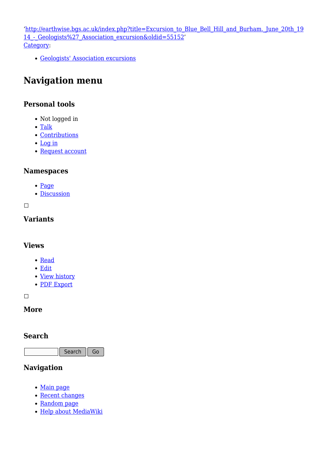'[http://earthwise.bgs.ac.uk/index.php?title=Excursion\\_to\\_Blue\\_Bell\\_Hill\\_and\\_Burham.\\_June\\_20th\\_19](http://earthwise.bgs.ac.uk/index.php?title=Excursion_to_Blue_Bell_Hill_and_Burham._June_20th_1914_-_Geologists%27_Association_excursion&oldid=55152) [14\\_-\\_Geologists%27\\_Association\\_excursion&oldid=55152](http://earthwise.bgs.ac.uk/index.php?title=Excursion_to_Blue_Bell_Hill_and_Burham._June_20th_1914_-_Geologists%27_Association_excursion&oldid=55152)' [Category](http://earthwise.bgs.ac.uk/index.php/Special:Categories):

[Geologists' Association excursions](http://earthwise.bgs.ac.uk/index.php/Category:Geologists%27_Association_excursions)

### **Navigation menu**

#### **Personal tools**

- Not logged in
- [Talk](http://earthwise.bgs.ac.uk/index.php/Special:MyTalk)
- [Contributions](http://earthwise.bgs.ac.uk/index.php/Special:MyContributions)
- [Log in](http://earthwise.bgs.ac.uk/index.php?title=Special:UserLogin&returnto=Excursion+to+Blue+Bell+Hill+and+Burham.+June+20th+1914+-+Geologists%27+Association+excursion&returntoquery=action%3Dmpdf)
- [Request account](http://earthwise.bgs.ac.uk/index.php/Special:RequestAccount)

#### **Namespaces**

- [Page](http://earthwise.bgs.ac.uk/index.php/Excursion_to_Blue_Bell_Hill_and_Burham._June_20th_1914_-_Geologists%27_Association_excursion)
- [Discussion](http://earthwise.bgs.ac.uk/index.php?title=Talk:Excursion_to_Blue_Bell_Hill_and_Burham._June_20th_1914_-_Geologists%27_Association_excursion&action=edit&redlink=1)

 $\Box$ 

#### **Variants**

#### **Views**

- [Read](http://earthwise.bgs.ac.uk/index.php/Excursion_to_Blue_Bell_Hill_and_Burham._June_20th_1914_-_Geologists%27_Association_excursion)
- [Edit](http://earthwise.bgs.ac.uk/index.php?title=Excursion_to_Blue_Bell_Hill_and_Burham._June_20th_1914_-_Geologists%27_Association_excursion&action=edit)
- [View history](http://earthwise.bgs.ac.uk/index.php?title=Excursion_to_Blue_Bell_Hill_and_Burham._June_20th_1914_-_Geologists%27_Association_excursion&action=history)
- [PDF Export](http://earthwise.bgs.ac.uk/index.php?title=Excursion_to_Blue_Bell_Hill_and_Burham._June_20th_1914_-_Geologists%27_Association_excursion&action=mpdf)

 $\overline{\phantom{a}}$ 

#### **More**

#### **Search**

Search  $\|$  Go

#### **Navigation**

- [Main page](http://earthwise.bgs.ac.uk/index.php/Main_Page)
- [Recent changes](http://earthwise.bgs.ac.uk/index.php/Special:RecentChanges)
- [Random page](http://earthwise.bgs.ac.uk/index.php/Special:Random)
- [Help about MediaWiki](https://www.mediawiki.org/wiki/Special:MyLanguage/Help:Contents)